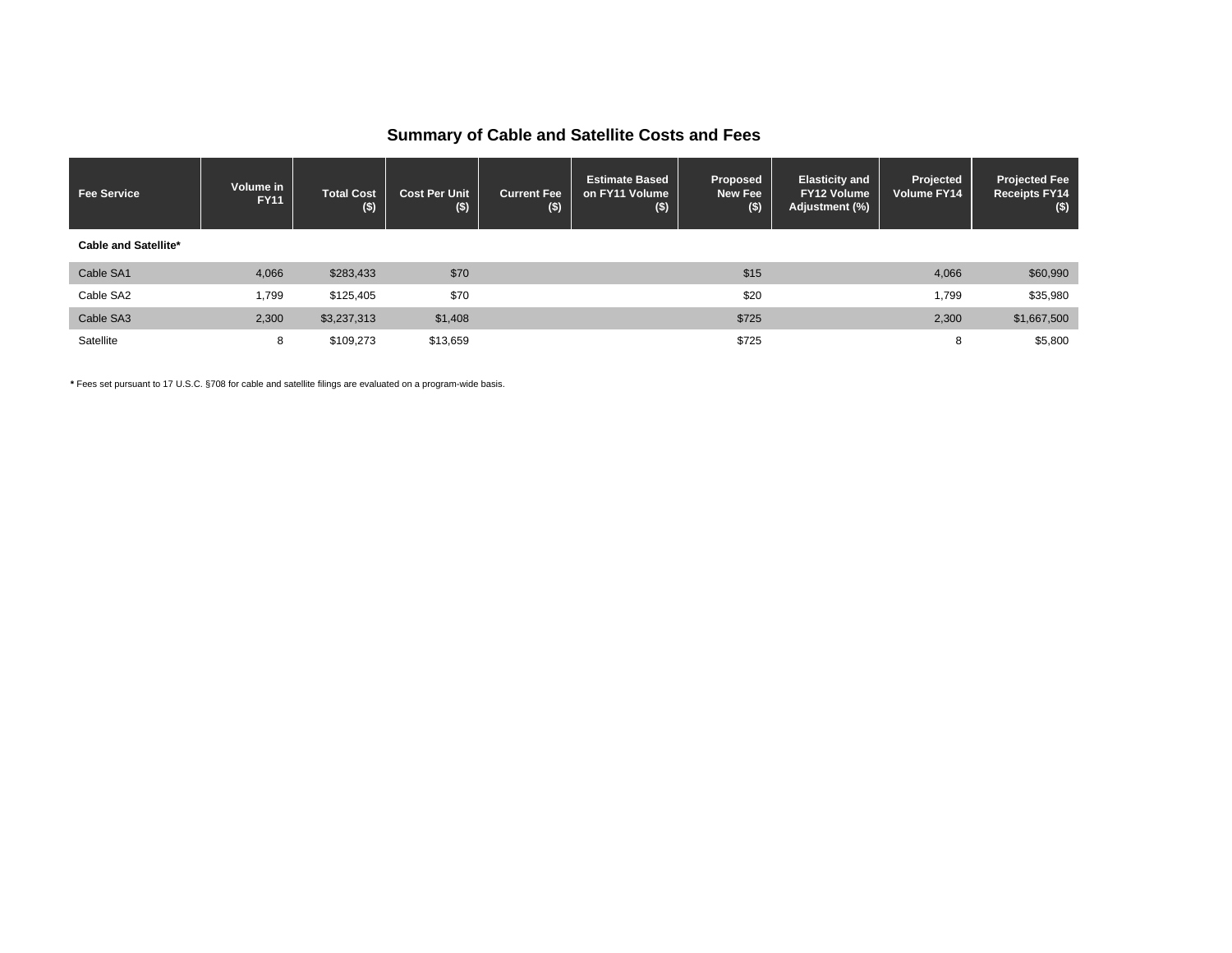## **Summary of Cable and Satellite Costs and Fees**

| <b>Fee Service</b>          | Volume in<br><b>FY11</b> | <b>Total Cost</b><br>$($ \$) | <b>Cost Per Unit</b><br>\$) | <b>Current Fee</b><br>$($ \$) | <b>Estimate Based</b><br>on FY11 Volume<br>$($ \$) | <b>Proposed</b><br>New Fee<br>$($ \$) | <b>Elasticity and</b><br><b>FY12 Volume</b><br>Adjustment (%) | Projected<br>Volume FY14 | <b>Projected Fee</b><br><b>Receipts FY14</b><br>$($)$ |
|-----------------------------|--------------------------|------------------------------|-----------------------------|-------------------------------|----------------------------------------------------|---------------------------------------|---------------------------------------------------------------|--------------------------|-------------------------------------------------------|
| <b>Cable and Satellite*</b> |                          |                              |                             |                               |                                                    |                                       |                                                               |                          |                                                       |
| Cable SA1                   | 4,066                    | \$283,433                    | \$70                        |                               |                                                    | \$15                                  |                                                               | 4,066                    | \$60,990                                              |
| Cable SA2                   | 1,799                    | \$125,405                    | \$70                        |                               |                                                    | \$20                                  |                                                               | 1,799                    | \$35,980                                              |
| Cable SA3                   | 2,300                    | \$3,237,313                  | \$1,408                     |                               |                                                    | \$725                                 |                                                               | 2,300                    | \$1,667,500                                           |
| Satellite                   | 8                        | \$109,273                    | \$13,659                    |                               |                                                    | \$725                                 |                                                               | 8                        | \$5,800                                               |

**\*** Fees set pursuant to 17 U.S.C. §708 for cable and satellite filings are evaluated on a program-wide basis.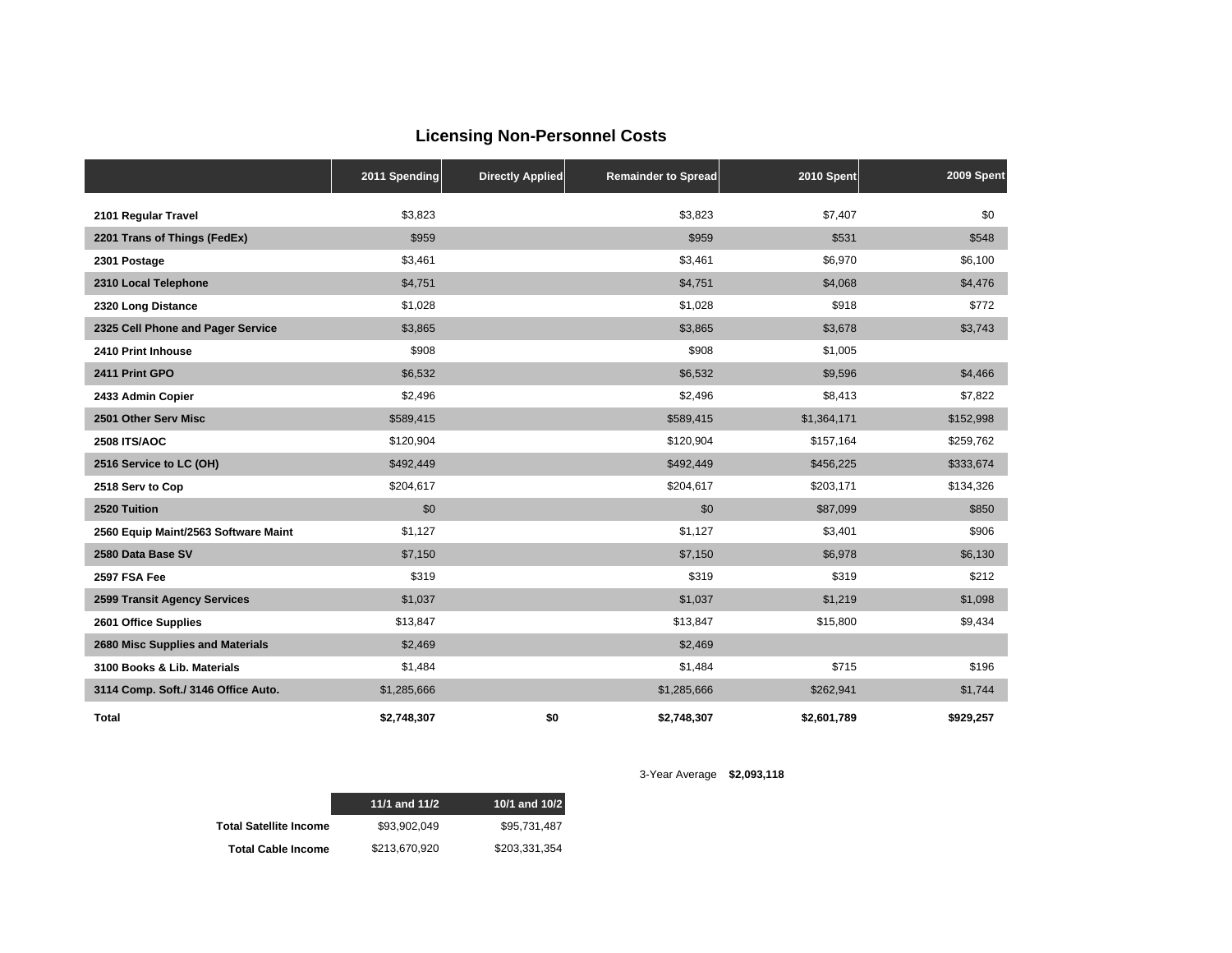## **Licensing Non-Personnel Costs**

|                                      | 2011 Spending | <b>Directly Applied</b> | <b>Remainder to Spread</b> | 2010 Spent  | 2009 Spent |
|--------------------------------------|---------------|-------------------------|----------------------------|-------------|------------|
| 2101 Regular Travel                  | \$3,823       |                         | \$3,823                    | \$7,407     | \$0        |
| 2201 Trans of Things (FedEx)         | \$959         |                         | \$959                      | \$531       | \$548      |
| 2301 Postage                         | \$3,461       |                         | \$3,461                    | \$6,970     | \$6,100    |
| 2310 Local Telephone                 | \$4,751       |                         | \$4,751                    | \$4,068     | \$4,476    |
| 2320 Long Distance                   | \$1,028       |                         | \$1,028                    | \$918       | \$772      |
| 2325 Cell Phone and Pager Service    | \$3,865       |                         | \$3,865                    | \$3,678     | \$3,743    |
| 2410 Print Inhouse                   | \$908         |                         | \$908                      | \$1,005     |            |
| 2411 Print GPO                       | \$6,532       |                         | \$6,532                    | \$9,596     | \$4,466    |
| 2433 Admin Copier                    | \$2,496       |                         | \$2,496                    | \$8,413     | \$7,822    |
| 2501 Other Serv Misc                 | \$589,415     |                         | \$589,415                  | \$1,364,171 | \$152,998  |
| <b>2508 ITS/AOC</b>                  | \$120,904     |                         | \$120,904                  | \$157,164   | \$259,762  |
| 2516 Service to LC (OH)              | \$492,449     |                         | \$492,449                  | \$456,225   | \$333,674  |
| 2518 Serv to Cop                     | \$204,617     |                         | \$204,617                  | \$203,171   | \$134,326  |
| 2520 Tuition                         | \$0           |                         | \$0                        | \$87,099    | \$850      |
| 2560 Equip Maint/2563 Software Maint | \$1,127       |                         | \$1,127                    | \$3,401     | \$906      |
| 2580 Data Base SV                    | \$7,150       |                         | \$7,150                    | \$6,978     | \$6,130    |
| 2597 FSA Fee                         | \$319         |                         | \$319                      | \$319       | \$212      |
| 2599 Transit Agency Services         | \$1,037       |                         | \$1,037                    | \$1,219     | \$1,098    |
| 2601 Office Supplies                 | \$13,847      |                         | \$13,847                   | \$15,800    | \$9,434    |
| 2680 Misc Supplies and Materials     | \$2,469       |                         | \$2,469                    |             |            |
| 3100 Books & Lib. Materials          | \$1,484       |                         | \$1,484                    | \$715       | \$196      |
| 3114 Comp. Soft./ 3146 Office Auto.  | \$1,285,666   |                         | \$1,285,666                | \$262,941   | \$1,744    |
| <b>Total</b>                         | \$2,748,307   | \$0                     | \$2,748,307                | \$2,601,789 | \$929,257  |

|                               | 11/1 and 11/2 | 10/1 and 10/2 |
|-------------------------------|---------------|---------------|
| <b>Total Satellite Income</b> | \$93.902.049  | \$95.731.487  |
| <b>Total Cable Income</b>     | \$213.670.920 | \$203.331.354 |

3-Year Average **\$2,093,118**